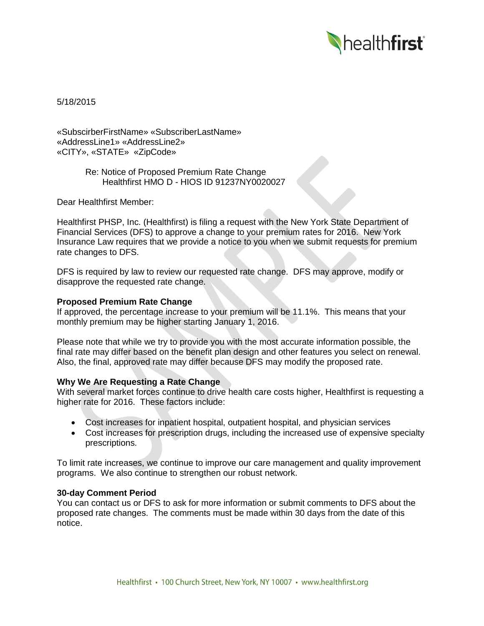

5/18/2015

«SubscirberFirstName» «SubscriberLastName» «AddressLine1» «AddressLine2» «CITY», «STATE» «ZipCode»

> Re: Notice of Proposed Premium Rate Change Healthfirst HMO D - HIOS ID 91237NY0020027

Dear Healthfirst Member:

Healthfirst PHSP, Inc. (Healthfirst) is filing a request with the New York State Department of Financial Services (DFS) to approve a change to your premium rates for 2016. New York Insurance Law requires that we provide a notice to you when we submit requests for premium rate changes to DFS.

DFS is required by law to review our requested rate change. DFS may approve, modify or disapprove the requested rate change.

## **Proposed Premium Rate Change**

If approved, the percentage increase to your premium will be 11.1%. This means that your monthly premium may be higher starting January 1, 2016.

Please note that while we try to provide you with the most accurate information possible, the final rate may differ based on the benefit plan design and other features you select on renewal. Also, the final, approved rate may differ because DFS may modify the proposed rate.

# **Why We Are Requesting a Rate Change**

With several market forces continue to drive health care costs higher, Healthfirst is requesting a higher rate for 2016. These factors include:

- Cost increases for inpatient hospital, outpatient hospital, and physician services
- Cost increases for prescription drugs, including the increased use of expensive specialty prescriptions.

To limit rate increases, we continue to improve our care management and quality improvement programs. We also continue to strengthen our robust network.

#### **30-day Comment Period**

You can contact us or DFS to ask for more information or submit comments to DFS about the proposed rate changes. The comments must be made within 30 days from the date of this notice.